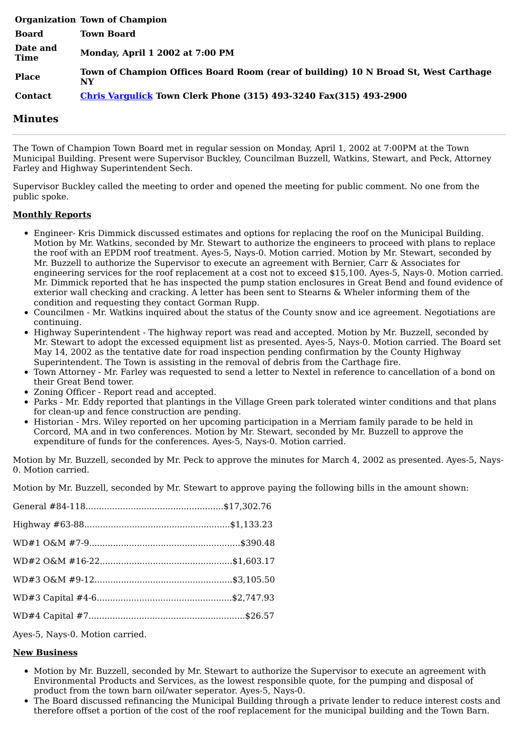|                  | <b>Organization Town of Champion</b>                                                      |
|------------------|-------------------------------------------------------------------------------------------|
| <b>Board</b>     | <b>Town Board</b>                                                                         |
| Date and<br>Time | Monday, April 1 2002 at 7:00 PM                                                           |
| <b>Place</b>     | Town of Champion Offices Board Room (rear of building) 10 N Broad St, West Carthage<br>NY |
| <b>Contact</b>   | <b>Chris Vargulick Town Clerk Phone (315) 493-3240 Fax(315) 493-2900</b>                  |

## **Minutes**

The Town of Champion Town Board met in regular session on Monday, April 1, 2002 at 7:00PM at the Town Municipal Building. Present were Supervisor Buckley, Councilman Buzzell, Watkins, Stewart, and Peck, Attorney Farley and Highway Superintendent Sech.

Supervisor Buckley called the meeting to order and opened the meeting for public comment. No one from the public spoke.

## **Monthly Reports**

- Engineer- Kris Dimmick discussed estimates and options for replacing the roof on the Municipal Building. Motion by Mr. Watkins, seconded by Mr. Stewart to authorize the engineers to proceed with plans to replace the roof with an EPDM roof treatment. Ayes-5, Nays-0. Motion carried. Motion by Mr. Stewart, seconded by Mr. Buzzell to authorize the Supervisor to execute an agreement with Bernier, Carr & Associates for engineering services for the roof replacement at a cost not to exceed \$15,100. Ayes-5, Nays-0. Motion carried. Mr. Dimmick reported that he has inspected the pump station enclosures in Great Bend and found evidence of exterior wall checking and cracking. A letter has been sent to Stearns & Wheler informing them of the condition and requesting they contact Gorman Rupp.
- Councilmen Mr. Watkins inquired about the status of the County snow and ice agreement. Negotiations are continuing.
- Highway Superintendent The highway report was read and accepted. Motion by Mr. Buzzell, seconded by Mr. Stewart to adopt the excessed equipment list as presented. Ayes-5, Nays-0. Motion carried. The Board set May 14, 2002 as the tentative date for road inspection pending confirmation by the County Highway Superintendent. The Town is assisting in the removal of debris from the Carthage fire.
- Town Attorney Mr. Farley was requested to send a letter to Nextel in reference to cancellation of a bond on their Great Bend tower.
- Zoning Officer Report read and accepted.
- Parks Mr. Eddy reported that plantings in the Village Green park tolerated winter conditions and that plans for clean-up and fence construction are pending.
- Historian Mrs. Wiley reported on her upcoming participation in a Merriam family parade to be held in Corcord, MA and in two conferences. Motion by Mr. Stewart, seconded by Mr. Buzzell to approve the expenditure of funds for the conferences. Ayes-5, Nays-0. Motion carried.

Motion by Mr. Buzzell, seconded by Mr. Peck to approve the minutes for March 4, 2002 as presented. Ayes-5, Nays-0. Motion carried.

Motion by Mr. Buzzell, seconded by Mr. Stewart to approve paying the following bills in the amount shown:

Ayes-5, Nays-0. Motion carried.

## **New Business**

- Motion by Mr. Buzzell, seconded by Mr. Stewart to authorize the Supervisor to execute an agreement with Environmental Products and Services, as the lowest responsible quote, for the pumping and disposal of product from the town barn oil/water seperator. Ayes-5, Nays-0.
- The Board discussed refinancing the Municipal Building through a private lender to reduce interest costs and therefore offset a portion of the cost of the roof replacement for the municipal building and the Town Barn.